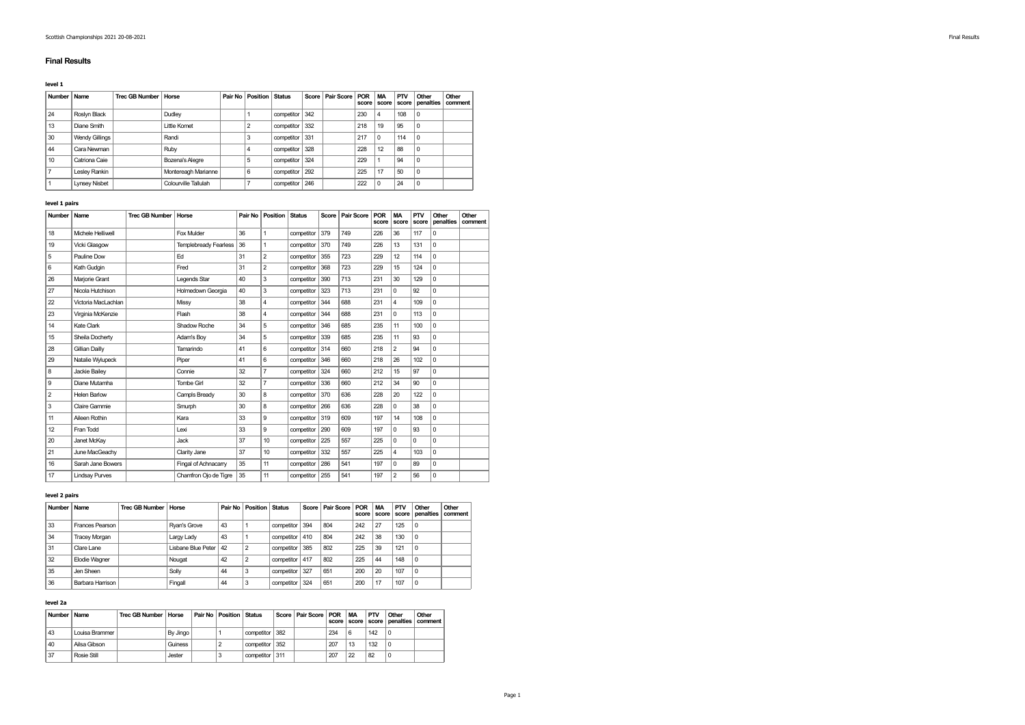## Final Results

level 1

| <b>Number</b> | Name                  | Trec GB Number   Horse |                      | Pair No | <b>Position Status</b> |            |     | Score   Pair Score | POR<br>score | <b>MA</b><br>score | PTV<br>score | Other<br>penalties | Other<br>comment |
|---------------|-----------------------|------------------------|----------------------|---------|------------------------|------------|-----|--------------------|--------------|--------------------|--------------|--------------------|------------------|
| 24            | Roslyn Black          |                        | Dudley               |         |                        | competitor | 342 |                    | 230          | 4                  | 108          | 0                  |                  |
| 13            | Diane Smith           |                        | Little Komet         |         |                        | competitor | 332 |                    | 218          | 19                 | 95           | 0                  |                  |
| 30            | <b>Wendy Gillings</b> |                        | Randi                |         | 3                      | competitor | 331 |                    | 217          | $\Omega$           | 114          | 0                  |                  |
| 44            | Cara Newman           |                        | Ruby                 |         | 4                      | competitor | 328 |                    | 228          | 12                 | 88           | 0                  |                  |
| 10            | Catriona Caie         |                        | Bozena's Alegre      |         | 5                      | competitor | 324 |                    | 229          |                    | 94           | $\Omega$           |                  |
|               | Leslev Rankin         |                        | Montereagh Marianne  |         | 6                      | competitor | 292 |                    | 225          | 17                 | 50           | $\Omega$           |                  |
|               | <b>Lynsey Nisbet</b>  |                        | Colourville Tallulah |         |                        | competitor | 246 |                    | 222          | $\Omega$           | 24           | $\Omega$           |                  |

### level 1 pairs

| Number         | Name                  | <b>Trec GB Number</b> | Horse                 | Pair No | <b>Position</b>  | <b>Status</b>    | Score | <b>Pair Score</b> | <b>POR</b><br>score | <b>MA</b><br>score | PTV<br>score | Other<br>penalties | Other<br>comment |
|----------------|-----------------------|-----------------------|-----------------------|---------|------------------|------------------|-------|-------------------|---------------------|--------------------|--------------|--------------------|------------------|
| 18             | Michele Helliwell     |                       | Fox Mulder            | 36      | $\mathbf{1}$     | competitor       | 379   | 749               | 226                 | 36                 | 117          | $\mathbf 0$        |                  |
| 19             | Vicki Glasgow         |                       | Templebready Fearless | 36      | $\mathbf{1}$     | competitor       | 370   | 749               | 226                 | 13                 | 131          | $\Omega$           |                  |
| 5              | Pauline Dow           |                       | Ed                    | 31      | $\overline{2}$   | competitor       | 355   | 723               | 229                 | 12                 | 114          | $\mathbf 0$        |                  |
| 6              | Kath Gudgin           |                       | Fred                  | 31      | $\overline{2}$   | competitor       | 368   | 723               | 229                 | 15                 | 124          | $\mathbf 0$        |                  |
| 26             | Marjorie Grant        |                       | Legends Star          | 40      | 3                | competitor       | 390   | 713               | 231                 | 30                 | 129          | $\Omega$           |                  |
| 27             | Nicola Hutchison      |                       | Holmedown Georgia     | 40      | 3                | competitor       | 323   | 713               | 231                 | $\Omega$           | 92           | $\mathbf 0$        |                  |
| 22             | Victoria MacLachlan   |                       | Missy                 | 38      | 4                | competitor       | 344   | 688               | 231                 | 4                  | 109          | $\mathbf 0$        |                  |
| 23             | Virginia McKenzie     |                       | Flash                 | 38      | 4                | competitor       | 344   | 688               | 231                 | $\Omega$           | 113          | $\mathbf 0$        |                  |
| 14             | Kate Clark            |                       | Shadow Roche          | 34      | 5                | competitor       | 346   | 685               | 235                 | 11                 | 100          | $\mathbf 0$        |                  |
| 15             | Sheila Docherty       |                       | Adam's Bov            | 34      | 5                | competitor       | 339   | 685               | 235                 | 11                 | 93           | $\mathbf 0$        |                  |
| 28             | Gillian Dailly        |                       | Tamarindo             | 41      | 6                | competitor       | 314   | 660               | 218                 | $\overline{2}$     | 94           | $\mathbf 0$        |                  |
| 29             | Natalie Wylupeck      |                       | Piper                 | 41      | 6                | competitor       | 346   | 660               | 218                 | 26                 | 102          | $\Omega$           |                  |
| 8              | Jackie Bailey         |                       | Connie                | 32      | $\overline{7}$   | competitor       | 324   | 660               | 212                 | 15                 | 97           | $\mathbf 0$        |                  |
| 9              | Diane Mutamha         |                       | Tombe Girl            | 32      | $\overline{7}$   | competitor       | 336   | 660               | 212                 | 34                 | 90           | $\Omega$           |                  |
| $\overline{2}$ | Helen Barlow          |                       | Campls Bready         | 30      | 8                | competitor       | 370   | 636               | 228                 | 20                 | 122          | $\mathbf 0$        |                  |
| 3              | Claire Gammie         |                       | Smurph                | 30      | 8                | competitor       | 266   | 636               | 228                 | 0                  | 38           | 0                  |                  |
| 11             | Aileen Rothin         |                       | Kara                  | 33      | 9                | competitor       | 319   | 609               | 197                 | 14                 | 108          | $\Omega$           |                  |
| 12             | Fran Todd             |                       | Lexi                  | 33      | 9                | competitor       | 290   | 609               | 197                 | $\Omega$           | 93           | $\mathbf 0$        |                  |
| 20             | Janet McKay           |                       | Jack                  | 37      | 10 <sup>10</sup> | competitor       | 225   | 557               | 225                 | $\Omega$           | 0            | $\mathbf 0$        |                  |
| 21             | June MacGeachy        |                       | Clarity Jane          | 37      | 10 <sup>10</sup> | competitor       | 332   | 557               | 225                 | 4                  | 103          | $\mathbf 0$        |                  |
| 16             | Sarah Jane Bowers     |                       | Fingal of Achnacarry  | 35      | 11               | competitor       | 286   | 541               | 197                 | $\Omega$           | 89           | 0                  |                  |
| 17             | <b>Lindsay Purves</b> |                       | Chamfron Ojo de Tigre | 35      | 11               | competitor   255 |       | 541               | 197                 | $\overline{2}$     | 56           | 0                  |                  |

# level 2 pairs

| Number | Name                 | Trec GB Number   Horse |                    |    | <b>Pair No Position Status</b> |                  | Score Pair Score POR | score | <b>MA</b><br>score | PTV<br>score | Other<br>penalties | Other<br>comment |
|--------|----------------------|------------------------|--------------------|----|--------------------------------|------------------|----------------------|-------|--------------------|--------------|--------------------|------------------|
| 33     | Frances Pearson      |                        | Rvan's Grove       | 43 |                                | competitor 394   | 804                  | 242   | 27                 | 125          | $\Omega$           |                  |
| 34     | <b>Tracey Morgan</b> |                        | Largy Lady         | 43 |                                | competitor   410 | 804                  | 242   | 38                 | 130          | $\Omega$           |                  |
| 31     | Clare Lane           |                        | Lishane Blue Peter | 42 |                                | competitor 385   | 802                  | 225   | 39                 | 121          | $\Omega$           |                  |
| 32     | Elodie Wagner        |                        | Nougat             | 42 |                                | competitor 417   | 802                  | 225   | 44                 | 148          | $\Omega$           |                  |
| 35     | Jen Sheen            |                        | Solly              | 44 | 3                              | competitor 327   | 651                  | 200   | 20                 | 107          | $\Omega$           |                  |
| 36     | Barbara Harrison     |                        | Fingall            | 44 | 3                              | competitor 324   | 651                  | 200   | 17                 | 107          | 0                  |                  |

# level 2a

| Number Name |                  | Trec GB Number   Horse |          | Pair No Position Status |                | Score   Pair Score   POR |     | <b>MA</b> | PTV | Other    | Other<br>score score score penalties comment |
|-------------|------------------|------------------------|----------|-------------------------|----------------|--------------------------|-----|-----------|-----|----------|----------------------------------------------|
| 43          | Louisa Brammer I |                        | By Jingo |                         | competitor 382 |                          | 234 | 6         | 142 | $\Omega$ |                                              |
| 40          | Ailsa Gibson     |                        | Guiness  |                         | competitor 352 |                          | 207 | 13        | 132 | $\Omega$ |                                              |
| 37          | Rosie Still      |                        | Jester   |                         | competitor 311 |                          | 207 | 22        | 82  | $\Omega$ |                                              |